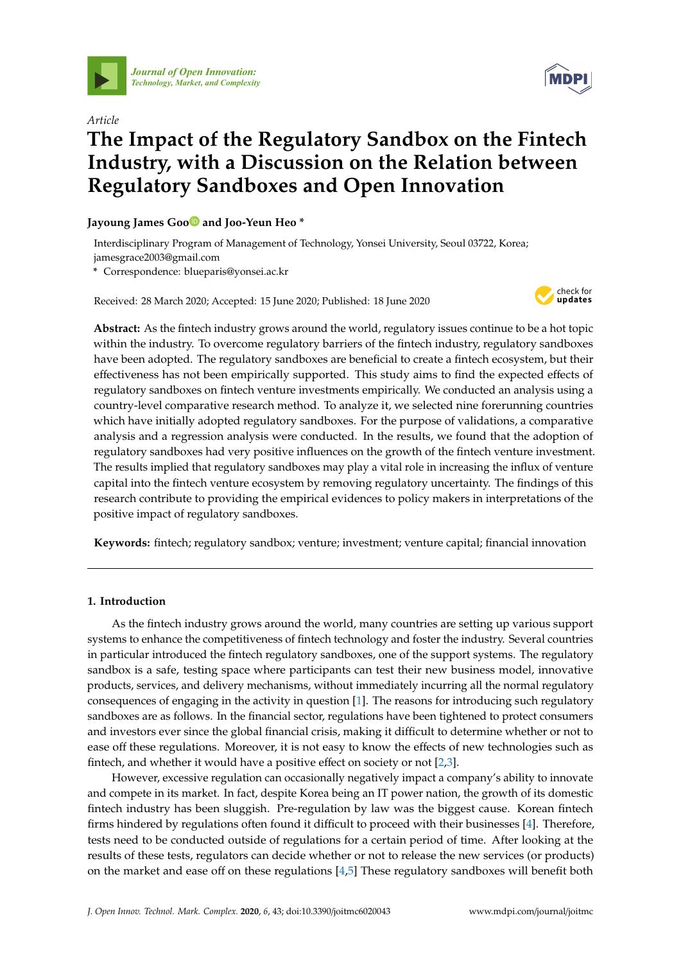

*[Journal of Open Innovation:](http://www.mdpi.com/journal/joitmc) Technology, Market, and Complexity*



# *Article* **The Impact of the Regulatory Sandbox on the Fintech Industry, with a Discussion on the Relation between Regulatory Sandboxes and Open Innovation**

**Jayoung James Go[o](https://orcid.org/0000-0001-5863-0046) and Joo-Yeun Heo \***

Interdisciplinary Program of Management of Technology, Yonsei University, Seoul 03722, Korea; jamesgrace2003@gmail.com

**\*** Correspondence: blueparis@yonsei.ac.kr

Received: 28 March 2020; Accepted: 15 June 2020; Published: 18 June 2020



**Abstract:** As the fintech industry grows around the world, regulatory issues continue to be a hot topic within the industry. To overcome regulatory barriers of the fintech industry, regulatory sandboxes have been adopted. The regulatory sandboxes are beneficial to create a fintech ecosystem, but their effectiveness has not been empirically supported. This study aims to find the expected effects of regulatory sandboxes on fintech venture investments empirically. We conducted an analysis using a country-level comparative research method. To analyze it, we selected nine forerunning countries which have initially adopted regulatory sandboxes. For the purpose of validations, a comparative analysis and a regression analysis were conducted. In the results, we found that the adoption of regulatory sandboxes had very positive influences on the growth of the fintech venture investment. The results implied that regulatory sandboxes may play a vital role in increasing the influx of venture capital into the fintech venture ecosystem by removing regulatory uncertainty. The findings of this research contribute to providing the empirical evidences to policy makers in interpretations of the positive impact of regulatory sandboxes.

**Keywords:** fintech; regulatory sandbox; venture; investment; venture capital; financial innovation

# **1. Introduction**

As the fintech industry grows around the world, many countries are setting up various support systems to enhance the competitiveness of fintech technology and foster the industry. Several countries in particular introduced the fintech regulatory sandboxes, one of the support systems. The regulatory sandbox is a safe, testing space where participants can test their new business model, innovative products, services, and delivery mechanisms, without immediately incurring all the normal regulatory consequences of engaging in the activity in question [\[1\]](#page-15-0). The reasons for introducing such regulatory sandboxes are as follows. In the financial sector, regulations have been tightened to protect consumers and investors ever since the global financial crisis, making it difficult to determine whether or not to ease off these regulations. Moreover, it is not easy to know the effects of new technologies such as fintech, and whether it would have a positive effect on society or not [\[2](#page-15-1)[,3\]](#page-15-2).

However, excessive regulation can occasionally negatively impact a company's ability to innovate and compete in its market. In fact, despite Korea being an IT power nation, the growth of its domestic fintech industry has been sluggish. Pre-regulation by law was the biggest cause. Korean fintech firms hindered by regulations often found it difficult to proceed with their businesses [\[4\]](#page-15-3). Therefore, tests need to be conducted outside of regulations for a certain period of time. After looking at the results of these tests, regulators can decide whether or not to release the new services (or products) on the market and ease off on these regulations [\[4,](#page-15-3)[5\]](#page-15-4) These regulatory sandboxes will benefit both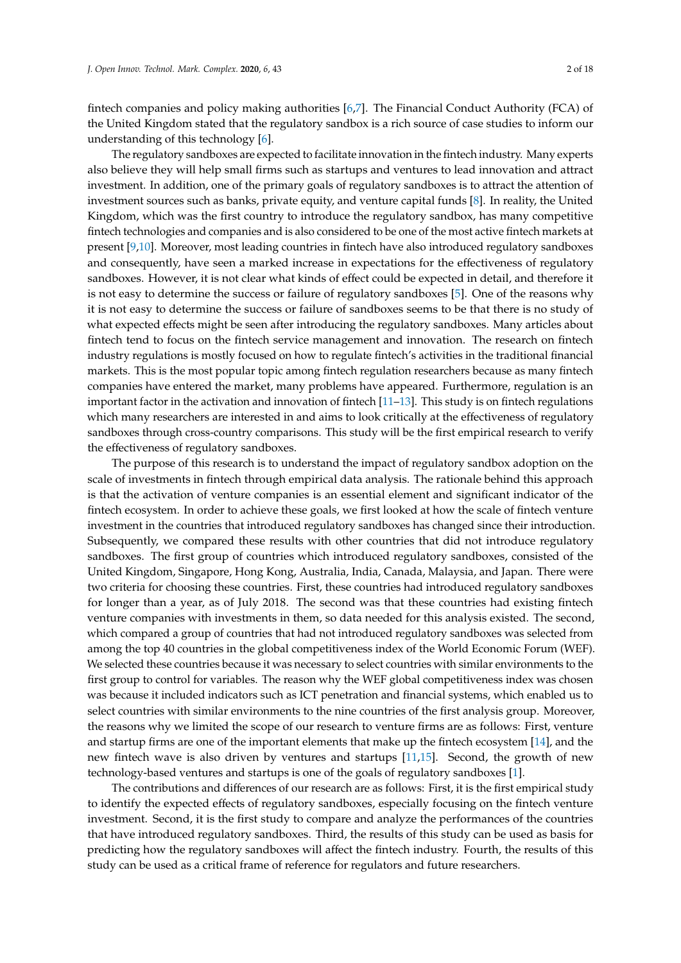fintech companies and policy making authorities [\[6](#page-15-5)[,7\]](#page-15-6). The Financial Conduct Authority (FCA) of the United Kingdom stated that the regulatory sandbox is a rich source of case studies to inform our understanding of this technology [\[6\]](#page-15-5).

The regulatory sandboxes are expected to facilitate innovation in the fintech industry. Many experts also believe they will help small firms such as startups and ventures to lead innovation and attract investment. In addition, one of the primary goals of regulatory sandboxes is to attract the attention of investment sources such as banks, private equity, and venture capital funds [\[8\]](#page-15-7). In reality, the United Kingdom, which was the first country to introduce the regulatory sandbox, has many competitive fintech technologies and companies and is also considered to be one of the most active fintech markets at present [\[9](#page-15-8)[,10\]](#page-15-9). Moreover, most leading countries in fintech have also introduced regulatory sandboxes and consequently, have seen a marked increase in expectations for the effectiveness of regulatory sandboxes. However, it is not clear what kinds of effect could be expected in detail, and therefore it is not easy to determine the success or failure of regulatory sandboxes [\[5\]](#page-15-4). One of the reasons why it is not easy to determine the success or failure of sandboxes seems to be that there is no study of what expected effects might be seen after introducing the regulatory sandboxes. Many articles about fintech tend to focus on the fintech service management and innovation. The research on fintech industry regulations is mostly focused on how to regulate fintech's activities in the traditional financial markets. This is the most popular topic among fintech regulation researchers because as many fintech companies have entered the market, many problems have appeared. Furthermore, regulation is an important factor in the activation and innovation of fintech [\[11](#page-15-10)[–13\]](#page-15-11). This study is on fintech regulations which many researchers are interested in and aims to look critically at the effectiveness of regulatory sandboxes through cross-country comparisons. This study will be the first empirical research to verify the effectiveness of regulatory sandboxes.

The purpose of this research is to understand the impact of regulatory sandbox adoption on the scale of investments in fintech through empirical data analysis. The rationale behind this approach is that the activation of venture companies is an essential element and significant indicator of the fintech ecosystem. In order to achieve these goals, we first looked at how the scale of fintech venture investment in the countries that introduced regulatory sandboxes has changed since their introduction. Subsequently, we compared these results with other countries that did not introduce regulatory sandboxes. The first group of countries which introduced regulatory sandboxes, consisted of the United Kingdom, Singapore, Hong Kong, Australia, India, Canada, Malaysia, and Japan. There were two criteria for choosing these countries. First, these countries had introduced regulatory sandboxes for longer than a year, as of July 2018. The second was that these countries had existing fintech venture companies with investments in them, so data needed for this analysis existed. The second, which compared a group of countries that had not introduced regulatory sandboxes was selected from among the top 40 countries in the global competitiveness index of the World Economic Forum (WEF). We selected these countries because it was necessary to select countries with similar environments to the first group to control for variables. The reason why the WEF global competitiveness index was chosen was because it included indicators such as ICT penetration and financial systems, which enabled us to select countries with similar environments to the nine countries of the first analysis group. Moreover, the reasons why we limited the scope of our research to venture firms are as follows: First, venture and startup firms are one of the important elements that make up the fintech ecosystem [\[14\]](#page-15-12), and the new fintech wave is also driven by ventures and startups [\[11](#page-15-10)[,15\]](#page-16-0). Second, the growth of new technology-based ventures and startups is one of the goals of regulatory sandboxes [\[1\]](#page-15-0).

The contributions and differences of our research are as follows: First, it is the first empirical study to identify the expected effects of regulatory sandboxes, especially focusing on the fintech venture investment. Second, it is the first study to compare and analyze the performances of the countries that have introduced regulatory sandboxes. Third, the results of this study can be used as basis for predicting how the regulatory sandboxes will affect the fintech industry. Fourth, the results of this study can be used as a critical frame of reference for regulators and future researchers.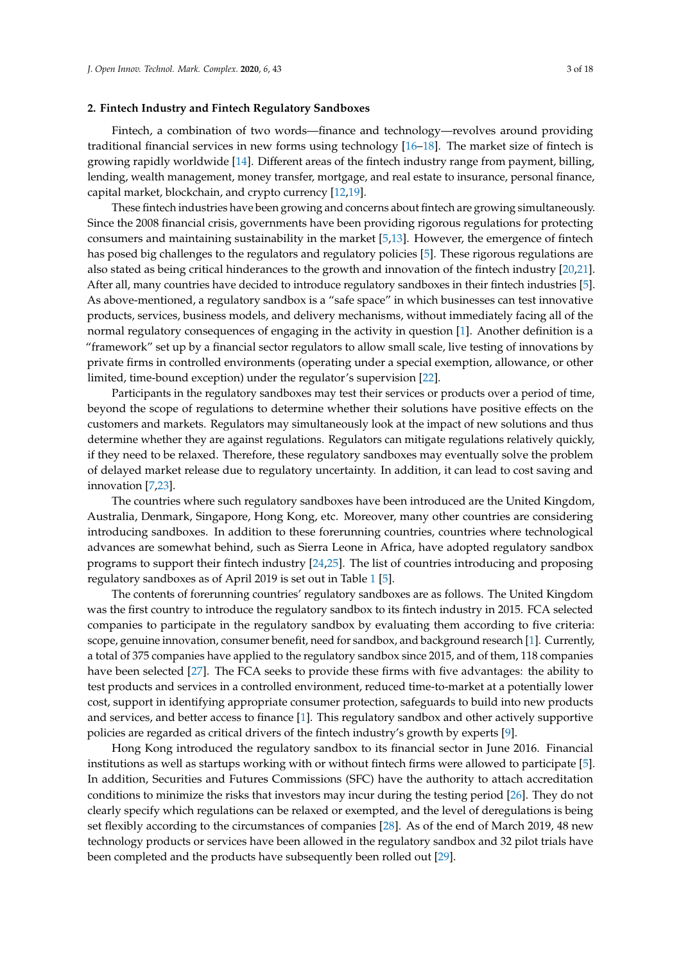# **2. Fintech Industry and Fintech Regulatory Sandboxes**

Fintech, a combination of two words—finance and technology—revolves around providing traditional financial services in new forms using technology  $[16-18]$  $[16-18]$ . The market size of fintech is growing rapidly worldwide [\[14\]](#page-15-12). Different areas of the fintech industry range from payment, billing, lending, wealth management, money transfer, mortgage, and real estate to insurance, personal finance, capital market, blockchain, and crypto currency [\[12,](#page-15-13)[19\]](#page-16-3).

These fintech industries have been growing and concerns about fintech are growing simultaneously. Since the 2008 financial crisis, governments have been providing rigorous regulations for protecting consumers and maintaining sustainability in the market [\[5,](#page-15-4)[13\]](#page-15-11). However, the emergence of fintech has posed big challenges to the regulators and regulatory policies [\[5\]](#page-15-4). These rigorous regulations are also stated as being critical hinderances to the growth and innovation of the fintech industry [\[20,](#page-16-4)[21\]](#page-16-5). After all, many countries have decided to introduce regulatory sandboxes in their fintech industries [\[5\]](#page-15-4). As above-mentioned, a regulatory sandbox is a "safe space" in which businesses can test innovative products, services, business models, and delivery mechanisms, without immediately facing all of the normal regulatory consequences of engaging in the activity in question [\[1\]](#page-15-0). Another definition is a "framework" set up by a financial sector regulators to allow small scale, live testing of innovations by private firms in controlled environments (operating under a special exemption, allowance, or other limited, time-bound exception) under the regulator's supervision [\[22\]](#page-16-6).

Participants in the regulatory sandboxes may test their services or products over a period of time, beyond the scope of regulations to determine whether their solutions have positive effects on the customers and markets. Regulators may simultaneously look at the impact of new solutions and thus determine whether they are against regulations. Regulators can mitigate regulations relatively quickly, if they need to be relaxed. Therefore, these regulatory sandboxes may eventually solve the problem of delayed market release due to regulatory uncertainty. In addition, it can lead to cost saving and innovation [\[7,](#page-15-6)[23\]](#page-16-7).

The countries where such regulatory sandboxes have been introduced are the United Kingdom, Australia, Denmark, Singapore, Hong Kong, etc. Moreover, many other countries are considering introducing sandboxes. In addition to these forerunning countries, countries where technological advances are somewhat behind, such as Sierra Leone in Africa, have adopted regulatory sandbox programs to support their fintech industry [\[24](#page-16-8)[,25\]](#page-16-9). The list of countries introducing and proposing regulatory sandboxes as of April 2019 is set out in Table [1](#page-3-0) [\[5\]](#page-15-4).

The contents of forerunning countries' regulatory sandboxes are as follows. The United Kingdom was the first country to introduce the regulatory sandbox to its fintech industry in 2015. FCA selected companies to participate in the regulatory sandbox by evaluating them according to five criteria: scope, genuine innovation, consumer benefit, need for sandbox, and background research [\[1\]](#page-15-0). Currently, a total of 375 companies have applied to the regulatory sandbox since 2015, and of them, 118 companies have been selected [\[27\]](#page-16-10). The FCA seeks to provide these firms with five advantages: the ability to test products and services in a controlled environment, reduced time-to-market at a potentially lower cost, support in identifying appropriate consumer protection, safeguards to build into new products and services, and better access to finance [\[1\]](#page-15-0). This regulatory sandbox and other actively supportive policies are regarded as critical drivers of the fintech industry's growth by experts [\[9\]](#page-15-8).

Hong Kong introduced the regulatory sandbox to its financial sector in June 2016. Financial institutions as well as startups working with or without fintech firms were allowed to participate [\[5\]](#page-15-4). In addition, Securities and Futures Commissions (SFC) have the authority to attach accreditation conditions to minimize the risks that investors may incur during the testing period [\[26\]](#page-16-11). They do not clearly specify which regulations can be relaxed or exempted, and the level of deregulations is being set flexibly according to the circumstances of companies [\[28\]](#page-16-12). As of the end of March 2019, 48 new technology products or services have been allowed in the regulatory sandbox and 32 pilot trials have been completed and the products have subsequently been rolled out [\[29\]](#page-16-13).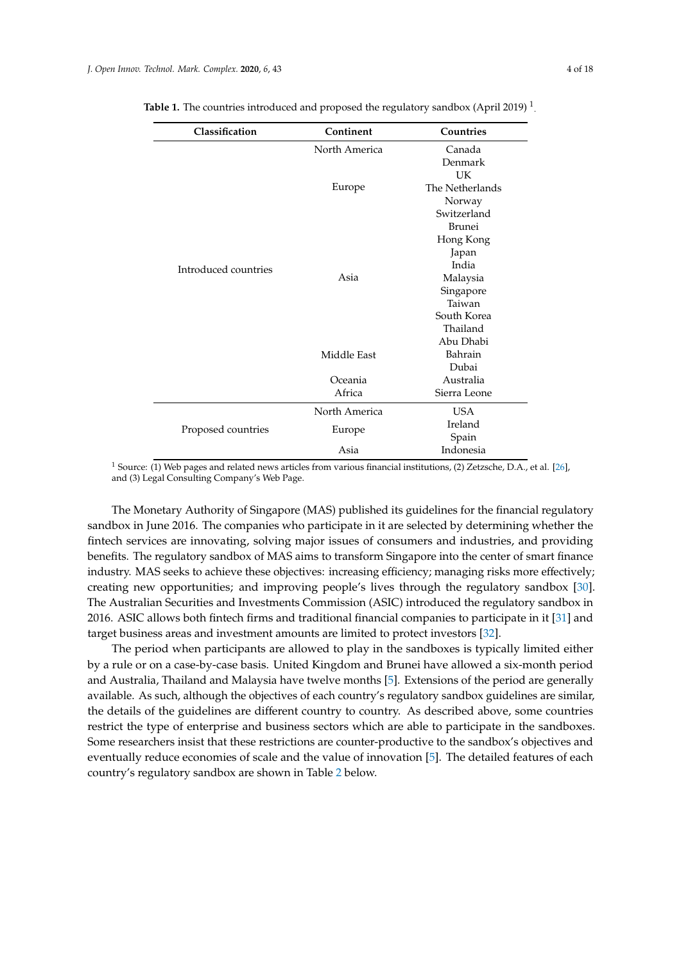|  | 4 of 18 |  |
|--|---------|--|
|  |         |  |
|  |         |  |

|               | Countries       |  |
|---------------|-----------------|--|
| North America | Canada          |  |
|               | Denmark         |  |
|               | UK              |  |
| Europe        | The Netherlands |  |
|               | Norway          |  |
|               | Switzerland     |  |
|               | Brunei          |  |
|               | Hong Kong       |  |
|               | Japan           |  |
|               | India           |  |
| Asia          | Malaysia        |  |
|               | Singapore       |  |
|               | Taiwan          |  |
|               | South Korea     |  |
|               | Thailand        |  |
|               | Abu Dhabi       |  |
| Middle East   | <b>Bahrain</b>  |  |
|               | Dubai           |  |
| Oceania       | Australia       |  |
| Africa        | Sierra Leone    |  |
| North America | <b>USA</b>      |  |
|               | Ireland         |  |
|               | Spain           |  |
| Asia          | Indonesia       |  |
|               | Europe          |  |

<span id="page-3-0"></span>Table 1. The countries introduced and proposed the regulatory sandbox (April 2019)<sup>1</sup>.

<sup>1</sup> Source: (1) Web pages and related news articles from various financial institutions, (2) Zetzsche, D.A., et al. [\[26\]](#page-16-11), and (3) Legal Consulting Company's Web Page.

The Monetary Authority of Singapore (MAS) published its guidelines for the financial regulatory sandbox in June 2016. The companies who participate in it are selected by determining whether the fintech services are innovating, solving major issues of consumers and industries, and providing benefits. The regulatory sandbox of MAS aims to transform Singapore into the center of smart finance industry. MAS seeks to achieve these objectives: increasing efficiency; managing risks more effectively; creating new opportunities; and improving people's lives through the regulatory sandbox [\[30\]](#page-16-14). The Australian Securities and Investments Commission (ASIC) introduced the regulatory sandbox in 2016. ASIC allows both fintech firms and traditional financial companies to participate in it [\[31\]](#page-16-15) and target business areas and investment amounts are limited to protect investors [\[32\]](#page-16-16).

The period when participants are allowed to play in the sandboxes is typically limited either by a rule or on a case-by-case basis. United Kingdom and Brunei have allowed a six-month period and Australia, Thailand and Malaysia have twelve months [\[5\]](#page-15-4). Extensions of the period are generally available. As such, although the objectives of each country's regulatory sandbox guidelines are similar, the details of the guidelines are different country to country. As described above, some countries restrict the type of enterprise and business sectors which are able to participate in the sandboxes. Some researchers insist that these restrictions are counter-productive to the sandbox's objectives and eventually reduce economies of scale and the value of innovation [\[5\]](#page-15-4). The detailed features of each country's regulatory sandbox are shown in Table [2](#page-5-0) below.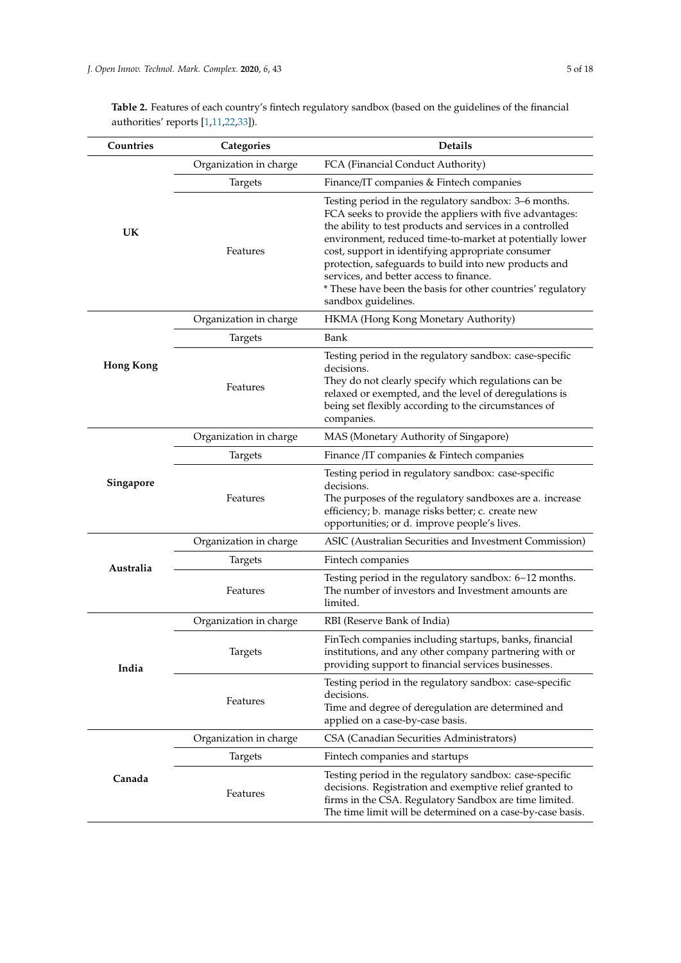| Table 2. Features of each country's fintech regulatory sandbox (based on the guidelines of the financial |
|----------------------------------------------------------------------------------------------------------|
| authorities' reports $[1,11,22,33]$ .                                                                    |

| Countries        | Categories             | <b>Details</b>                                                                                                                                                                                                                                                                                                                                                                                                                                                                           |  |
|------------------|------------------------|------------------------------------------------------------------------------------------------------------------------------------------------------------------------------------------------------------------------------------------------------------------------------------------------------------------------------------------------------------------------------------------------------------------------------------------------------------------------------------------|--|
|                  | Organization in charge | FCA (Financial Conduct Authority)                                                                                                                                                                                                                                                                                                                                                                                                                                                        |  |
|                  | <b>Targets</b>         | Finance/IT companies & Fintech companies                                                                                                                                                                                                                                                                                                                                                                                                                                                 |  |
| UK               | Features               | Testing period in the regulatory sandbox: 3–6 months.<br>FCA seeks to provide the appliers with five advantages:<br>the ability to test products and services in a controlled<br>environment, reduced time-to-market at potentially lower<br>cost, support in identifying appropriate consumer<br>protection, safeguards to build into new products and<br>services, and better access to finance.<br>* These have been the basis for other countries' regulatory<br>sandbox guidelines. |  |
|                  | Organization in charge | HKMA (Hong Kong Monetary Authority)                                                                                                                                                                                                                                                                                                                                                                                                                                                      |  |
|                  | <b>Targets</b>         | Bank                                                                                                                                                                                                                                                                                                                                                                                                                                                                                     |  |
| <b>Hong Kong</b> | Features               | Testing period in the regulatory sandbox: case-specific<br>decisions.<br>They do not clearly specify which regulations can be<br>relaxed or exempted, and the level of deregulations is<br>being set flexibly according to the circumstances of<br>companies.                                                                                                                                                                                                                            |  |
|                  | Organization in charge | MAS (Monetary Authority of Singapore)                                                                                                                                                                                                                                                                                                                                                                                                                                                    |  |
| Singapore        | <b>Targets</b>         | Finance /IT companies & Fintech companies                                                                                                                                                                                                                                                                                                                                                                                                                                                |  |
|                  | Features               | Testing period in regulatory sandbox: case-specific<br>decisions.<br>The purposes of the regulatory sandboxes are a. increase<br>efficiency; b. manage risks better; c. create new<br>opportunities; or d. improve people's lives.                                                                                                                                                                                                                                                       |  |
|                  | Organization in charge | ASIC (Australian Securities and Investment Commission)                                                                                                                                                                                                                                                                                                                                                                                                                                   |  |
|                  | <b>Targets</b>         | Fintech companies                                                                                                                                                                                                                                                                                                                                                                                                                                                                        |  |
| Australia        | Features               | Testing period in the regulatory sandbox: $6~12$ months.<br>The number of investors and Investment amounts are<br>limited.                                                                                                                                                                                                                                                                                                                                                               |  |
|                  | Organization in charge | RBI (Reserve Bank of India)                                                                                                                                                                                                                                                                                                                                                                                                                                                              |  |
| India            | Targets                | FinTech companies including startups, banks, financial<br>institutions, and any other company partnering with or<br>providing support to financial services businesses.                                                                                                                                                                                                                                                                                                                  |  |
|                  | Features               | Testing period in the regulatory sandbox: case-specific<br>decisions.<br>Time and degree of deregulation are determined and<br>applied on a case-by-case basis.                                                                                                                                                                                                                                                                                                                          |  |
|                  | Organization in charge | CSA (Canadian Securities Administrators)                                                                                                                                                                                                                                                                                                                                                                                                                                                 |  |
|                  | <b>Targets</b>         | Fintech companies and startups                                                                                                                                                                                                                                                                                                                                                                                                                                                           |  |
| Canada           | Features               | Testing period in the regulatory sandbox: case-specific<br>decisions. Registration and exemptive relief granted to<br>firms in the CSA. Regulatory Sandbox are time limited.<br>The time limit will be determined on a case-by-case basis.                                                                                                                                                                                                                                               |  |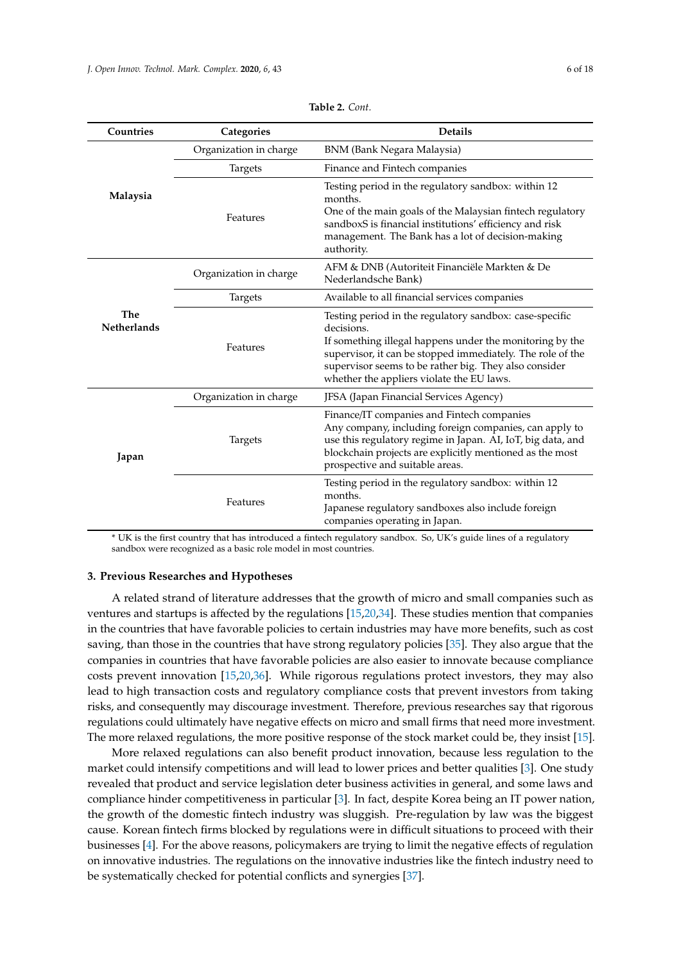<span id="page-5-0"></span>

| Countries                 | Categories             | <b>Details</b>                                                                                                                                                                                                                                                                                        |  |  |
|---------------------------|------------------------|-------------------------------------------------------------------------------------------------------------------------------------------------------------------------------------------------------------------------------------------------------------------------------------------------------|--|--|
|                           | Organization in charge | BNM (Bank Negara Malaysia)                                                                                                                                                                                                                                                                            |  |  |
| Malaysia                  | Targets                | Finance and Fintech companies                                                                                                                                                                                                                                                                         |  |  |
|                           | Features               | Testing period in the regulatory sandbox: within 12<br>months.<br>One of the main goals of the Malaysian fintech regulatory<br>sandboxS is financial institutions' efficiency and risk<br>management. The Bank has a lot of decision-making<br>authority.                                             |  |  |
| The<br><b>Netherlands</b> | Organization in charge | AFM & DNB (Autoriteit Financiële Markten & De<br>Nederlandsche Bank)                                                                                                                                                                                                                                  |  |  |
|                           | Targets                | Available to all financial services companies                                                                                                                                                                                                                                                         |  |  |
|                           | Features               | Testing period in the regulatory sandbox: case-specific<br>decisions.<br>If something illegal happens under the monitoring by the<br>supervisor, it can be stopped immediately. The role of the<br>supervisor seems to be rather big. They also consider<br>whether the appliers violate the EU laws. |  |  |
|                           | Organization in charge | JFSA (Japan Financial Services Agency)                                                                                                                                                                                                                                                                |  |  |
| Japan                     | Targets                | Finance/IT companies and Fintech companies<br>Any company, including foreign companies, can apply to<br>use this regulatory regime in Japan. AI, IoT, big data, and<br>blockchain projects are explicitly mentioned as the most<br>prospective and suitable areas.                                    |  |  |
|                           | Features               | Testing period in the regulatory sandbox: within 12<br>months.<br>Japanese regulatory sandboxes also include foreign<br>companies operating in Japan.                                                                                                                                                 |  |  |

**Table 2.** *Cont.*

\* UK is the first country that has introduced a fintech regulatory sandbox. So, UK's guide lines of a regulatory sandbox were recognized as a basic role model in most countries.

#### **3. Previous Researches and Hypotheses**

A related strand of literature addresses that the growth of micro and small companies such as ventures and startups is affected by the regulations [\[15,](#page-16-0)[20,](#page-16-4)[34\]](#page-16-18). These studies mention that companies in the countries that have favorable policies to certain industries may have more benefits, such as cost saving, than those in the countries that have strong regulatory policies [\[35\]](#page-16-19). They also argue that the companies in countries that have favorable policies are also easier to innovate because compliance costs prevent innovation [\[15,](#page-16-0)[20,](#page-16-4)[36\]](#page-16-20). While rigorous regulations protect investors, they may also lead to high transaction costs and regulatory compliance costs that prevent investors from taking risks, and consequently may discourage investment. Therefore, previous researches say that rigorous regulations could ultimately have negative effects on micro and small firms that need more investment. The more relaxed regulations, the more positive response of the stock market could be, they insist [\[15\]](#page-16-0).

More relaxed regulations can also benefit product innovation, because less regulation to the market could intensify competitions and will lead to lower prices and better qualities [\[3\]](#page-15-2). One study revealed that product and service legislation deter business activities in general, and some laws and compliance hinder competitiveness in particular [\[3\]](#page-15-2). In fact, despite Korea being an IT power nation, the growth of the domestic fintech industry was sluggish. Pre-regulation by law was the biggest cause. Korean fintech firms blocked by regulations were in difficult situations to proceed with their businesses [\[4\]](#page-15-3). For the above reasons, policymakers are trying to limit the negative effects of regulation on innovative industries. The regulations on the innovative industries like the fintech industry need to be systematically checked for potential conflicts and synergies [\[37\]](#page-16-21).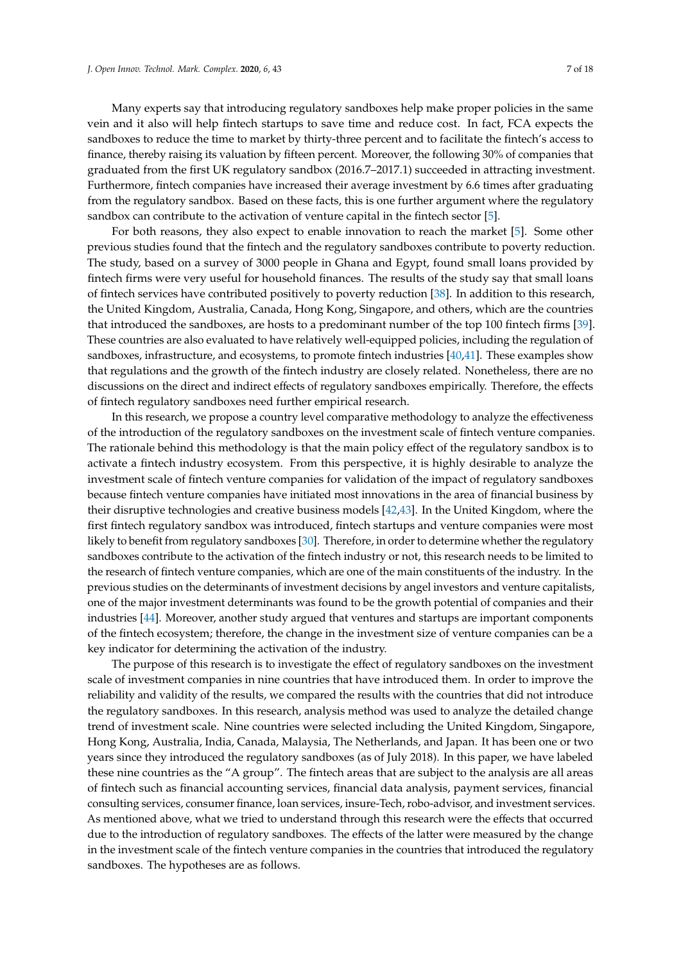Many experts say that introducing regulatory sandboxes help make proper policies in the same vein and it also will help fintech startups to save time and reduce cost. In fact, FCA expects the sandboxes to reduce the time to market by thirty-three percent and to facilitate the fintech's access to finance, thereby raising its valuation by fifteen percent. Moreover, the following 30% of companies that graduated from the first UK regulatory sandbox (2016.7–2017.1) succeeded in attracting investment. Furthermore, fintech companies have increased their average investment by 6.6 times after graduating from the regulatory sandbox. Based on these facts, this is one further argument where the regulatory sandbox can contribute to the activation of venture capital in the fintech sector [\[5\]](#page-15-4).

For both reasons, they also expect to enable innovation to reach the market [\[5\]](#page-15-4). Some other previous studies found that the fintech and the regulatory sandboxes contribute to poverty reduction. The study, based on a survey of 3000 people in Ghana and Egypt, found small loans provided by fintech firms were very useful for household finances. The results of the study say that small loans of fintech services have contributed positively to poverty reduction [\[38\]](#page-16-22). In addition to this research, the United Kingdom, Australia, Canada, Hong Kong, Singapore, and others, which are the countries that introduced the sandboxes, are hosts to a predominant number of the top 100 fintech firms [\[39\]](#page-16-23). These countries are also evaluated to have relatively well-equipped policies, including the regulation of sandboxes, infrastructure, and ecosystems, to promote fintech industries [\[40,](#page-16-24)[41\]](#page-16-25). These examples show that regulations and the growth of the fintech industry are closely related. Nonetheless, there are no discussions on the direct and indirect effects of regulatory sandboxes empirically. Therefore, the effects of fintech regulatory sandboxes need further empirical research.

In this research, we propose a country level comparative methodology to analyze the effectiveness of the introduction of the regulatory sandboxes on the investment scale of fintech venture companies. The rationale behind this methodology is that the main policy effect of the regulatory sandbox is to activate a fintech industry ecosystem. From this perspective, it is highly desirable to analyze the investment scale of fintech venture companies for validation of the impact of regulatory sandboxes because fintech venture companies have initiated most innovations in the area of financial business by their disruptive technologies and creative business models [\[42,](#page-16-26)[43\]](#page-16-27). In the United Kingdom, where the first fintech regulatory sandbox was introduced, fintech startups and venture companies were most likely to benefit from regulatory sandboxes [\[30\]](#page-16-14). Therefore, in order to determine whether the regulatory sandboxes contribute to the activation of the fintech industry or not, this research needs to be limited to the research of fintech venture companies, which are one of the main constituents of the industry. In the previous studies on the determinants of investment decisions by angel investors and venture capitalists, one of the major investment determinants was found to be the growth potential of companies and their industries [\[44\]](#page-16-28). Moreover, another study argued that ventures and startups are important components of the fintech ecosystem; therefore, the change in the investment size of venture companies can be a key indicator for determining the activation of the industry.

The purpose of this research is to investigate the effect of regulatory sandboxes on the investment scale of investment companies in nine countries that have introduced them. In order to improve the reliability and validity of the results, we compared the results with the countries that did not introduce the regulatory sandboxes. In this research, analysis method was used to analyze the detailed change trend of investment scale. Nine countries were selected including the United Kingdom, Singapore, Hong Kong, Australia, India, Canada, Malaysia, The Netherlands, and Japan. It has been one or two years since they introduced the regulatory sandboxes (as of July 2018). In this paper, we have labeled these nine countries as the "A group". The fintech areas that are subject to the analysis are all areas of fintech such as financial accounting services, financial data analysis, payment services, financial consulting services, consumer finance, loan services, insure-Tech, robo-advisor, and investment services. As mentioned above, what we tried to understand through this research were the effects that occurred due to the introduction of regulatory sandboxes. The effects of the latter were measured by the change in the investment scale of the fintech venture companies in the countries that introduced the regulatory sandboxes. The hypotheses are as follows.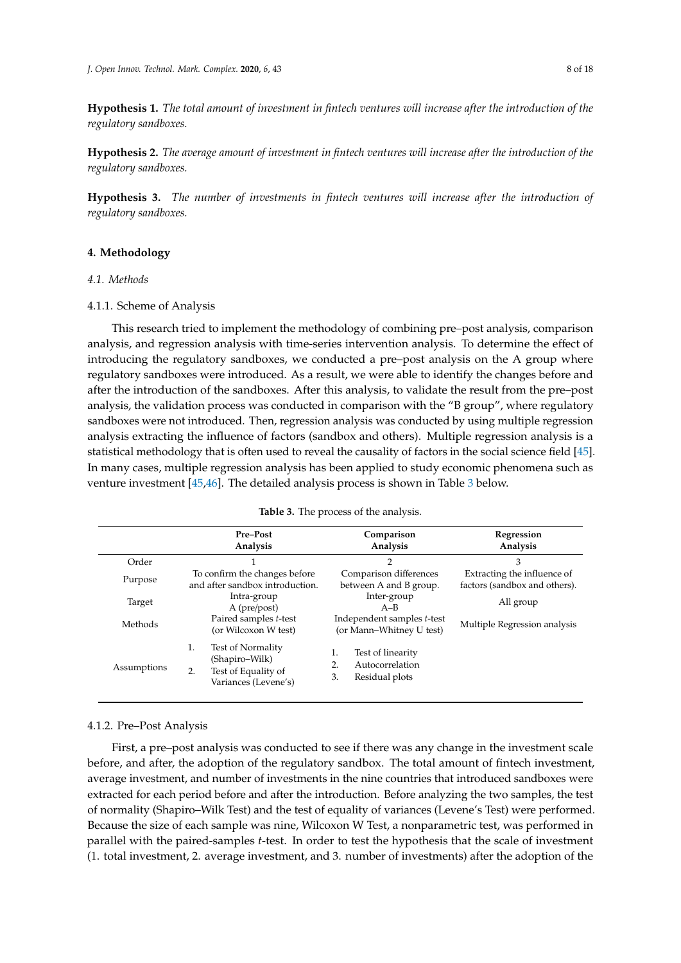**Hypothesis 1.** *The total amount of investment in fintech ventures will increase after the introduction of the regulatory sandboxes.*

**Hypothesis 2.** *The average amount of investment in fintech ventures will increase after the introduction of the regulatory sandboxes.*

**Hypothesis 3.** *The number of investments in fintech ventures will increase after the introduction of regulatory sandboxes.*

# **4. Methodology**

# *4.1. Methods*

# 4.1.1. Scheme of Analysis

This research tried to implement the methodology of combining pre–post analysis, comparison analysis, and regression analysis with time-series intervention analysis. To determine the effect of introducing the regulatory sandboxes, we conducted a pre–post analysis on the A group where regulatory sandboxes were introduced. As a result, we were able to identify the changes before and after the introduction of the sandboxes. After this analysis, to validate the result from the pre–post analysis, the validation process was conducted in comparison with the "B group", where regulatory sandboxes were not introduced. Then, regression analysis was conducted by using multiple regression analysis extracting the influence of factors (sandbox and others). Multiple regression analysis is a statistical methodology that is often used to reveal the causality of factors in the social science field [\[45\]](#page-16-29). In many cases, multiple regression analysis has been applied to study economic phenomena such as venture investment [\[45,](#page-16-29)[46\]](#page-16-30). The detailed analysis process is shown in Table [3](#page-7-0) below.

#### **Table 3.** The process of the analysis.

<span id="page-7-0"></span>

|             | <b>Pre-Post</b><br>Analysis                                                                    | Comparison<br>Analysis                                                   | Regression<br>Analysis                                       |  |
|-------------|------------------------------------------------------------------------------------------------|--------------------------------------------------------------------------|--------------------------------------------------------------|--|
| Order       |                                                                                                | 2                                                                        | 3                                                            |  |
| Purpose     | To confirm the changes before<br>and after sandbox introduction.                               | Comparison differences<br>between A and B group.                         | Extracting the influence of<br>factors (sandbox and others). |  |
| Target      | Intra-group<br>A (pre/post)                                                                    | Inter-group<br>$A-B$                                                     | All group                                                    |  |
| Methods     | Paired samples t-test<br>(or Wilcoxon W test)                                                  | Independent samples t-test<br>(or Mann-Whitney U test)                   | Multiple Regression analysis                                 |  |
| Assumptions | 1.<br>Test of Normality<br>(Shapiro–Wilk)<br>2.<br>Test of Equality of<br>Variances (Levene's) | 1.<br>Test of linearity<br>Autocorrelation<br>2.<br>3.<br>Residual plots |                                                              |  |

#### 4.1.2. Pre–Post Analysis

First, a pre–post analysis was conducted to see if there was any change in the investment scale before, and after, the adoption of the regulatory sandbox. The total amount of fintech investment, average investment, and number of investments in the nine countries that introduced sandboxes were extracted for each period before and after the introduction. Before analyzing the two samples, the test of normality (Shapiro–Wilk Test) and the test of equality of variances (Levene's Test) were performed. Because the size of each sample was nine, Wilcoxon W Test, a nonparametric test, was performed in parallel with the paired-samples *t*-test. In order to test the hypothesis that the scale of investment (1. total investment, 2. average investment, and 3. number of investments) after the adoption of the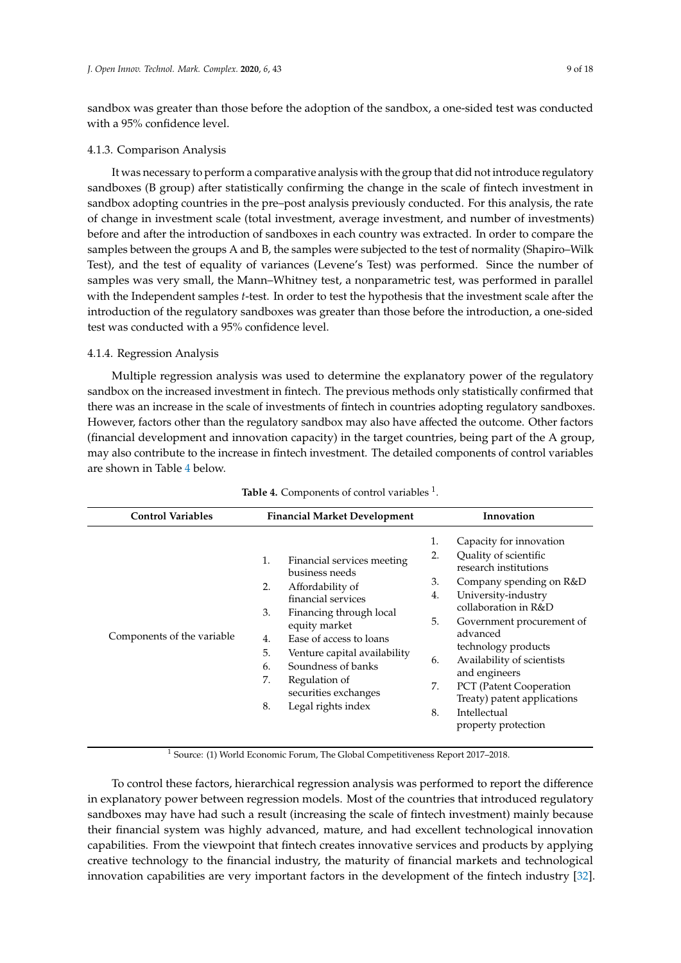sandbox was greater than those before the adoption of the sandbox, a one-sided test was conducted with a 95% confidence level.

# 4.1.3. Comparison Analysis

It was necessary to perform a comparative analysis with the group that did not introduce regulatory sandboxes (B group) after statistically confirming the change in the scale of fintech investment in sandbox adopting countries in the pre–post analysis previously conducted. For this analysis, the rate of change in investment scale (total investment, average investment, and number of investments) before and after the introduction of sandboxes in each country was extracted. In order to compare the samples between the groups A and B, the samples were subjected to the test of normality (Shapiro–Wilk Test), and the test of equality of variances (Levene's Test) was performed. Since the number of samples was very small, the Mann–Whitney test, a nonparametric test, was performed in parallel with the Independent samples *t*-test. In order to test the hypothesis that the investment scale after the introduction of the regulatory sandboxes was greater than those before the introduction, a one-sided test was conducted with a 95% confidence level.

# 4.1.4. Regression Analysis

Multiple regression analysis was used to determine the explanatory power of the regulatory sandbox on the increased investment in fintech. The previous methods only statistically confirmed that there was an increase in the scale of investments of fintech in countries adopting regulatory sandboxes. However, factors other than the regulatory sandbox may also have affected the outcome. Other factors (financial development and innovation capacity) in the target countries, being part of the A group, may also contribute to the increase in fintech investment. The detailed components of control variables are shown in Table [4](#page-8-0) below.

<span id="page-8-0"></span>

| <b>Control Variables</b>   | <b>Financial Market Development</b>                                                                                                                                                                                                                                                                                                |                                                                                                                                                                                                                                                                                                                                                                                                                     |
|----------------------------|------------------------------------------------------------------------------------------------------------------------------------------------------------------------------------------------------------------------------------------------------------------------------------------------------------------------------------|---------------------------------------------------------------------------------------------------------------------------------------------------------------------------------------------------------------------------------------------------------------------------------------------------------------------------------------------------------------------------------------------------------------------|
| Components of the variable | Financial services meeting<br>1.<br>business needs<br>2.<br>Affordability of<br>financial services<br>3.<br>Financing through local<br>equity market<br>Ease of access to loans<br>4.<br>5.<br>Venture capital availability<br>Soundness of banks<br>6.<br>7.<br>Regulation of<br>securities exchanges<br>8.<br>Legal rights index | 1.<br>Capacity for innovation<br>Quality of scientific<br>2.<br>research institutions<br>3.<br>Company spending on R&D<br>University-industry<br>4.<br>collaboration in R&D<br>5.<br>Government procurement of<br>advanced<br>technology products<br>Availability of scientists<br>6.<br>and engineers<br>7.<br>PCT (Patent Cooperation<br>Treaty) patent applications<br>Intellectual<br>8.<br>property protection |

# **Table 4.** Components of control variables <sup>1</sup>.

<sup>1</sup> Source: (1) World Economic Forum, The Global Competitiveness Report 2017–2018.

To control these factors, hierarchical regression analysis was performed to report the difference in explanatory power between regression models. Most of the countries that introduced regulatory sandboxes may have had such a result (increasing the scale of fintech investment) mainly because their financial system was highly advanced, mature, and had excellent technological innovation capabilities. From the viewpoint that fintech creates innovative services and products by applying creative technology to the financial industry, the maturity of financial markets and technological innovation capabilities are very important factors in the development of the fintech industry [\[32\]](#page-16-16).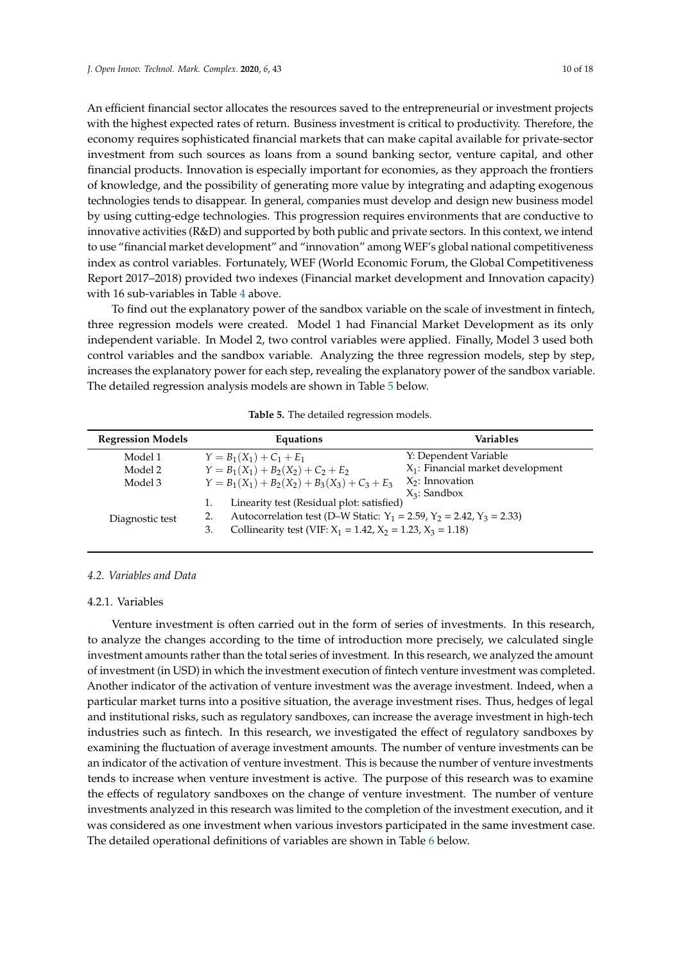An efficient financial sector allocates the resources saved to the entrepreneurial or investment projects with the highest expected rates of return. Business investment is critical to productivity. Therefore, the economy requires sophisticated financial markets that can make capital available for private-sector investment from such sources as loans from a sound banking sector, venture capital, and other financial products. Innovation is especially important for economies, as they approach the frontiers of knowledge, and the possibility of generating more value by integrating and adapting exogenous technologies tends to disappear. In general, companies must develop and design new business model by using cutting-edge technologies. This progression requires environments that are conductive to

innovative activities (R&D) and supported by both public and private sectors. In this context, we intend to use "financial market development" and "innovation" among WEF's global national competitiveness index as control variables. Fortunately, WEF (World Economic Forum, the Global Competitiveness Report 2017–2018) provided two indexes (Financial market development and Innovation capacity) with 16 sub-variables in Table [4](#page-8-0) above.

To find out the explanatory power of the sandbox variable on the scale of investment in fintech, three regression models were created. Model 1 had Financial Market Development as its only independent variable. In Model 2, two control variables were applied. Finally, Model 3 used both control variables and the sandbox variable. Analyzing the three regression models, step by step, increases the explanatory power for each step, revealing the explanatory power of the sandbox variable. The detailed regression analysis models are shown in Table [5](#page-9-0) below.

<span id="page-9-0"></span>

| <b>Regression Models</b> | Equations                                                                                                                                                                                                 | <b>Variables</b>                     |
|--------------------------|-----------------------------------------------------------------------------------------------------------------------------------------------------------------------------------------------------------|--------------------------------------|
| Model 1                  | $Y = B_1(X_1) + C_1 + E_1$                                                                                                                                                                                | Y: Dependent Variable                |
| Model 2                  | $Y = B_1(X_1) + B_2(X_2) + C_2 + E_2$                                                                                                                                                                     | $X_1$ : Financial market development |
| Model 3                  | $Y = B_1(X_1) + B_2(X_2) + B_3(X_3) + C_3 + E_3$                                                                                                                                                          | $X_2$ : Innovation                   |
| Diagnostic test          | Linearity test (Residual plot: satisfied)<br>Autocorrelation test (D–W Static: $Y_1 = 2.59$ , $Y_2 = 2.42$ , $Y_3 = 2.33$ )<br>Collinearity test (VIF: $X_1 = 1.42$ , $X_2 = 1.23$ , $X_3 = 1.18$ )<br>3. | $X_3$ : Sandbox                      |

**Table 5.** The detailed regression models.

# *4.2. Variables and Data*

# 4.2.1. Variables

Venture investment is often carried out in the form of series of investments. In this research, to analyze the changes according to the time of introduction more precisely, we calculated single investment amounts rather than the total series of investment. In this research, we analyzed the amount of investment (in USD) in which the investment execution of fintech venture investment was completed. Another indicator of the activation of venture investment was the average investment. Indeed, when a particular market turns into a positive situation, the average investment rises. Thus, hedges of legal and institutional risks, such as regulatory sandboxes, can increase the average investment in high-tech industries such as fintech. In this research, we investigated the effect of regulatory sandboxes by examining the fluctuation of average investment amounts. The number of venture investments can be an indicator of the activation of venture investment. This is because the number of venture investments tends to increase when venture investment is active. The purpose of this research was to examine the effects of regulatory sandboxes on the change of venture investment. The number of venture investments analyzed in this research was limited to the completion of the investment execution, and it was considered as one investment when various investors participated in the same investment case. The detailed operational definitions of variables are shown in Table [6](#page-10-0) below.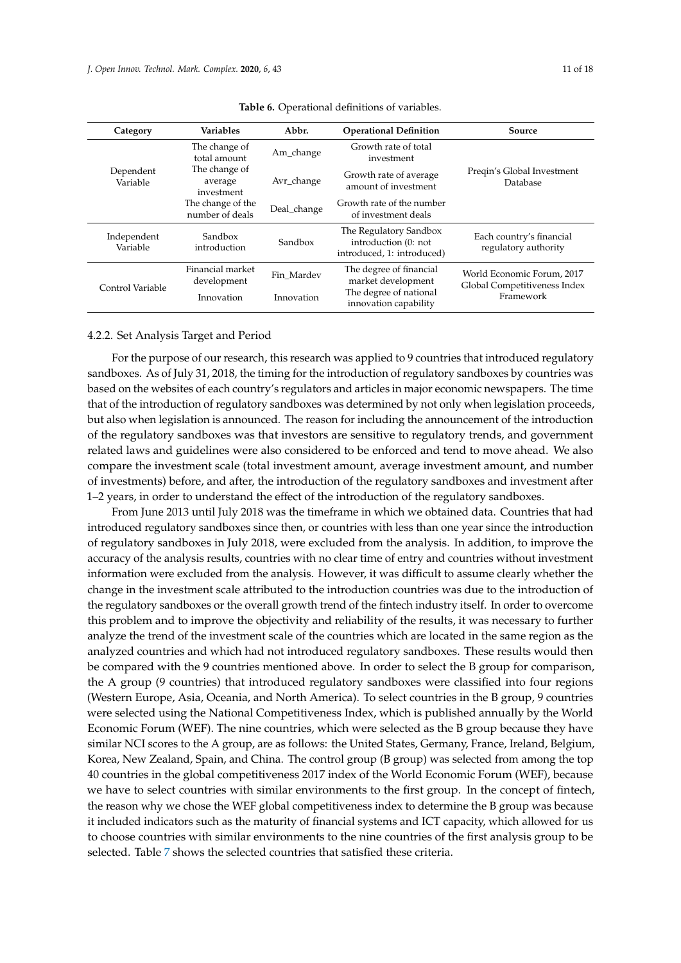<span id="page-10-0"></span>

| Category                | <b>Variables</b>                       | Abbr.       | <b>Operational Definition</b>                                                | Source                                                     |
|-------------------------|----------------------------------------|-------------|------------------------------------------------------------------------------|------------------------------------------------------------|
|                         | The change of<br>total amount          | Am_change   | Growth rate of total<br>investment                                           |                                                            |
| Dependent<br>Variable   | The change of<br>average<br>investment | Avr_change  | Growth rate of average<br>amount of investment                               | Preqin's Global Investment<br>Database                     |
|                         | The change of the<br>number of deals   | Deal_change | Growth rate of the number<br>of investment deals                             |                                                            |
| Independent<br>Variable | Sandbox<br>introduction                | Sandbox     | The Regulatory Sandbox<br>introduction (0: not<br>introduced, 1: introduced) | Each country's financial<br>regulatory authority           |
| Control Variable        | Financial market<br>development        | Fin Mardev  | The degree of financial<br>market development                                | World Economic Forum, 2017<br>Global Competitiveness Index |
|                         | Innovation                             | Innovation  | The degree of national<br>innovation capability                              | Framework                                                  |

**Table 6.** Operational definitions of variables.

#### 4.2.2. Set Analysis Target and Period

For the purpose of our research, this research was applied to 9 countries that introduced regulatory sandboxes. As of July 31, 2018, the timing for the introduction of regulatory sandboxes by countries was based on the websites of each country's regulators and articles in major economic newspapers. The time that of the introduction of regulatory sandboxes was determined by not only when legislation proceeds, but also when legislation is announced. The reason for including the announcement of the introduction of the regulatory sandboxes was that investors are sensitive to regulatory trends, and government related laws and guidelines were also considered to be enforced and tend to move ahead. We also compare the investment scale (total investment amount, average investment amount, and number of investments) before, and after, the introduction of the regulatory sandboxes and investment after 1–2 years, in order to understand the effect of the introduction of the regulatory sandboxes.

From June 2013 until July 2018 was the timeframe in which we obtained data. Countries that had introduced regulatory sandboxes since then, or countries with less than one year since the introduction of regulatory sandboxes in July 2018, were excluded from the analysis. In addition, to improve the accuracy of the analysis results, countries with no clear time of entry and countries without investment information were excluded from the analysis. However, it was difficult to assume clearly whether the change in the investment scale attributed to the introduction countries was due to the introduction of the regulatory sandboxes or the overall growth trend of the fintech industry itself. In order to overcome this problem and to improve the objectivity and reliability of the results, it was necessary to further analyze the trend of the investment scale of the countries which are located in the same region as the analyzed countries and which had not introduced regulatory sandboxes. These results would then be compared with the 9 countries mentioned above. In order to select the B group for comparison, the A group (9 countries) that introduced regulatory sandboxes were classified into four regions (Western Europe, Asia, Oceania, and North America). To select countries in the B group, 9 countries were selected using the National Competitiveness Index, which is published annually by the World Economic Forum (WEF). The nine countries, which were selected as the B group because they have similar NCI scores to the A group, are as follows: the United States, Germany, France, Ireland, Belgium, Korea, New Zealand, Spain, and China. The control group (B group) was selected from among the top 40 countries in the global competitiveness 2017 index of the World Economic Forum (WEF), because we have to select countries with similar environments to the first group. In the concept of fintech, the reason why we chose the WEF global competitiveness index to determine the B group was because it included indicators such as the maturity of financial systems and ICT capacity, which allowed for us to choose countries with similar environments to the nine countries of the first analysis group to be selected. Table [7](#page-11-0) shows the selected countries that satisfied these criteria.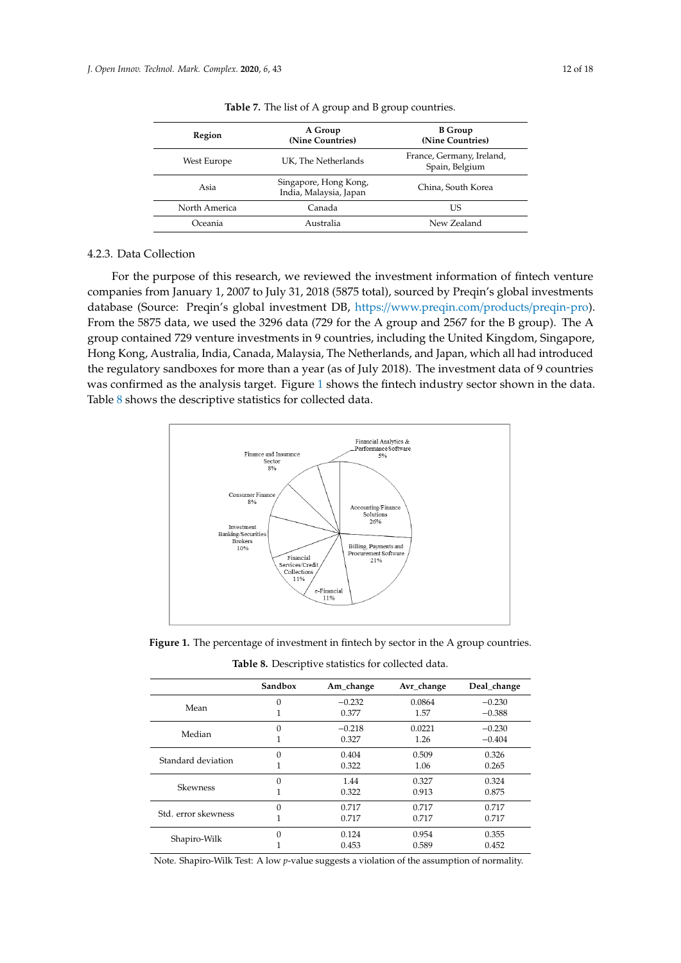<span id="page-11-0"></span>

| Region                                                  | A Group<br>(Nine Countries) | <b>B</b> Group<br>(Nine Countries)          |  |
|---------------------------------------------------------|-----------------------------|---------------------------------------------|--|
| West Europe                                             | UK, The Netherlands         | France, Germany, Ireland,<br>Spain, Belgium |  |
| Singapore, Hong Kong,<br>Asia<br>India, Malaysia, Japan |                             | China, South Korea                          |  |
| North America                                           | Canada                      | US                                          |  |
| Oceania                                                 | Australia                   | New Zealand                                 |  |

**Table 7.** The list of A group and B group countries.

#### 4.2.3. Data Collection oceania Australia Australia Australia Australia Australia Australia Australia Australia Australia Australia Au

For the purpose of this research, we reviewed the investment information of fintech venture For the purpose of this research, we reviewed the investment information of intective venture<br>companies from January 1, 2007 to July 31, 2018 (5875 total), sourced by Preqin's global investments database (Source: Preqin's global investment DB, https://www.preqin.com/products/preqin-pro). From the 5875 data, we used the 3296 data (729 for the A group and 2567 for the B group). The A group contained 729 venture investments in 9 countries, including the United Kingdom, Singapore, Hong Kong, Australia, India, Canada, Malaysia, The Netherlands, and Japan, which all had introduced the regulatory sandboxes for more than a year (as of July 2018). The investment data of 9 countries was confirmed as the analysis target. Figure [1](#page-11-1) shows the fintech industry sector shown in the data. Table [8](#page-11-2) shows the descriptive statistics for collected data.  $\alpha$  borb data, we used the 5250 data (125 for the  $\alpha$  group and 2507 for the  $\beta$  group). Table 8 shows the descriptive statistics for collected data.

<span id="page-11-1"></span>

<span id="page-11-2"></span>**Figure 1.** The percentage of investment in fintech by sector in the A group countries. **Figure 1.** The percentage of investment in fintech by sector in the A group countries.

**Table 8.** Descriptive statistics for collected data. **Table 8.** Descriptive statistics for collected data.

|                     | Sandbox  | Am_change | Avr_change | Deal_change |
|---------------------|----------|-----------|------------|-------------|
|                     | 0        | $-0.232$  | 0.0864     | $-0.230$    |
| Mean                |          | 0.377     | 1.57       | $-0.388$    |
| Median              | $\Omega$ | $-0.218$  | 0.0221     | $-0.230$    |
|                     |          | 0.327     | 1.26       | $-0.404$    |
| Standard deviation  | 0        | 0.404     | 0.509      | 0.326       |
|                     |          | 0.322     | 1.06       | 0.265       |
| <b>Skewness</b>     | $\Omega$ | 1.44      | 0.327      | 0.324       |
|                     |          | 0.322     | 0.913      | 0.875       |
|                     | $\Omega$ | 0.717     | 0.717      | 0.717       |
| Std. error skewness |          | 0.717     | 0.717      | 0.717       |
| Shapiro-Wilk        | $\Omega$ | 0.124     | 0.954      | 0.355       |
|                     |          | 0.453     | 0.589      | 0.452       |

Note. Shapiro-Wilk Test: A low *p*-value suggests a violation of the assumption of normality.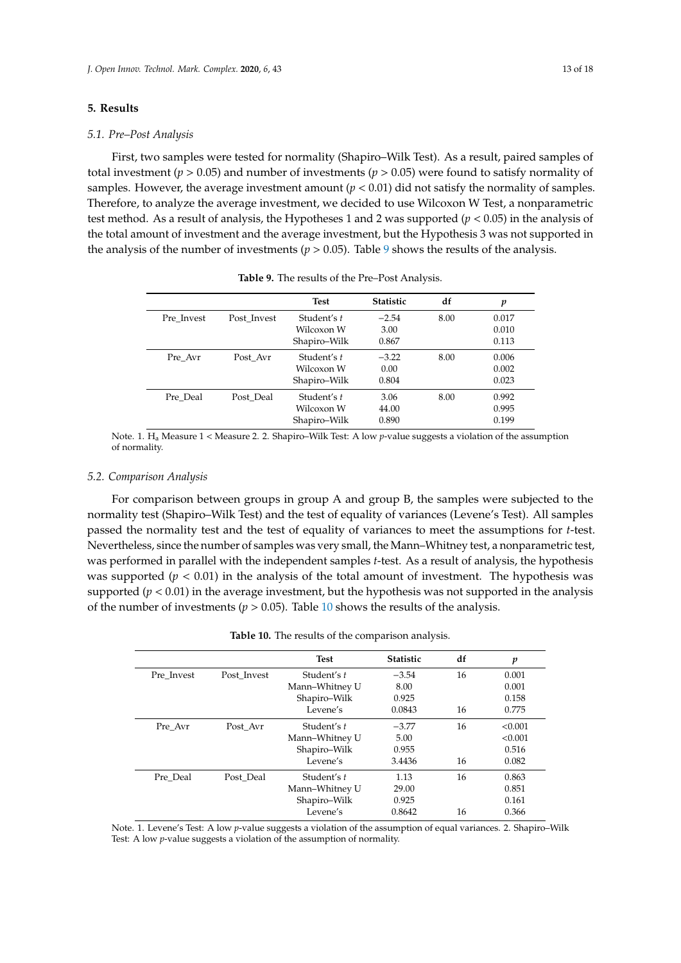# **5. Results**

#### *5.1. Pre–Post Analysis*

First, two samples were tested for normality (Shapiro–Wilk Test). As a result, paired samples of total investment (*p* > 0.05) and number of investments (*p* > 0.05) were found to satisfy normality of samples. However, the average investment amount  $(p < 0.01)$  did not satisfy the normality of samples. Therefore, to analyze the average investment, we decided to use Wilcoxon W Test, a nonparametric test method. As a result of analysis, the Hypotheses 1 and 2 was supported (*p* < 0.05) in the analysis of the total amount of investment and the average investment, but the Hypothesis 3 was not supported in the analysis of the number of investments ( $p > 0.05$ ). Table [9](#page-12-0) shows the results of the analysis.

<span id="page-12-0"></span>

|            |             | <b>Test</b>  | <b>Statistic</b> | df   | p     |
|------------|-------------|--------------|------------------|------|-------|
| Pre Invest | Post Invest | Student's t  | $-2.54$          | 8.00 | 0.017 |
|            |             | Wilcoxon W   | 3.00             |      | 0.010 |
|            |             | Shapiro–Wilk | 0.867            |      | 0.113 |
| Pre Avr    | Post Avr    | Student's t  | $-3.22$          | 8.00 | 0.006 |
|            |             | Wilcoxon W   | 0.00             |      | 0.002 |
|            |             | Shapiro–Wilk | 0.804            |      | 0.023 |
| Pre Deal   | Post Deal   | Student's t  | 3.06             | 8.00 | 0.992 |
|            |             | Wilcoxon W   | 44.00            |      | 0.995 |
|            |             | Shapiro-Wilk | 0.890            |      | 0.199 |

**Table 9.** The results of the Pre–Post Analysis.

Note. 1. H<sup>a</sup> Measure 1 < Measure 2. 2. Shapiro–Wilk Test: A low *p*-value suggests a violation of the assumption of normality.

#### *5.2. Comparison Analysis*

For comparison between groups in group A and group B, the samples were subjected to the normality test (Shapiro–Wilk Test) and the test of equality of variances (Levene's Test). All samples passed the normality test and the test of equality of variances to meet the assumptions for *t*-test. Nevertheless, since the number of samples was very small, the Mann–Whitney test, a nonparametric test, was performed in parallel with the independent samples *t*-test. As a result of analysis, the hypothesis was supported  $(p < 0.01)$  in the analysis of the total amount of investment. The hypothesis was supported  $(p < 0.01)$  in the average investment, but the hypothesis was not supported in the analysis of the number of investments ( $p > 0.05$ ). Table [10](#page-12-1) shows the results of the analysis.

|  | <b>Table 10.</b> The results of the comparison analysis. |  |
|--|----------------------------------------------------------|--|
|  |                                                          |  |

<span id="page-12-1"></span>

|            |             | <b>Test</b>    | <b>Statistic</b> | df | p       |
|------------|-------------|----------------|------------------|----|---------|
| Pre Invest | Post Invest | Student's t    | $-3.54$          | 16 | 0.001   |
|            |             | Mann-Whitney U | 8.00             |    | 0.001   |
|            |             | Shapiro-Wilk   | 0.925            |    | 0.158   |
|            |             | Levene's       | 0.0843           | 16 | 0.775   |
| Pre Avr    | Post Avr    | Student's t    | $-3.77$          | 16 | < 0.001 |
|            |             | Mann-Whitney U | 5.00             |    | < 0.001 |
|            |             | Shapiro-Wilk   | 0.955            |    | 0.516   |
|            |             | Levene's       | 3.4436           | 16 | 0.082   |
| Pre Deal   | Post Deal   | Student's t    | 1.13             | 16 | 0.863   |
|            |             | Mann-Whitney U | 29.00            |    | 0.851   |
|            |             | Shapiro-Wilk   | 0.925            |    | 0.161   |
|            |             | Levene's       | 0.8642           | 16 | 0.366   |

Note. 1. Levene's Test: A low *p*-value suggests a violation of the assumption of equal variances. 2. Shapiro–Wilk Test: A low *p*-value suggests a violation of the assumption of normality.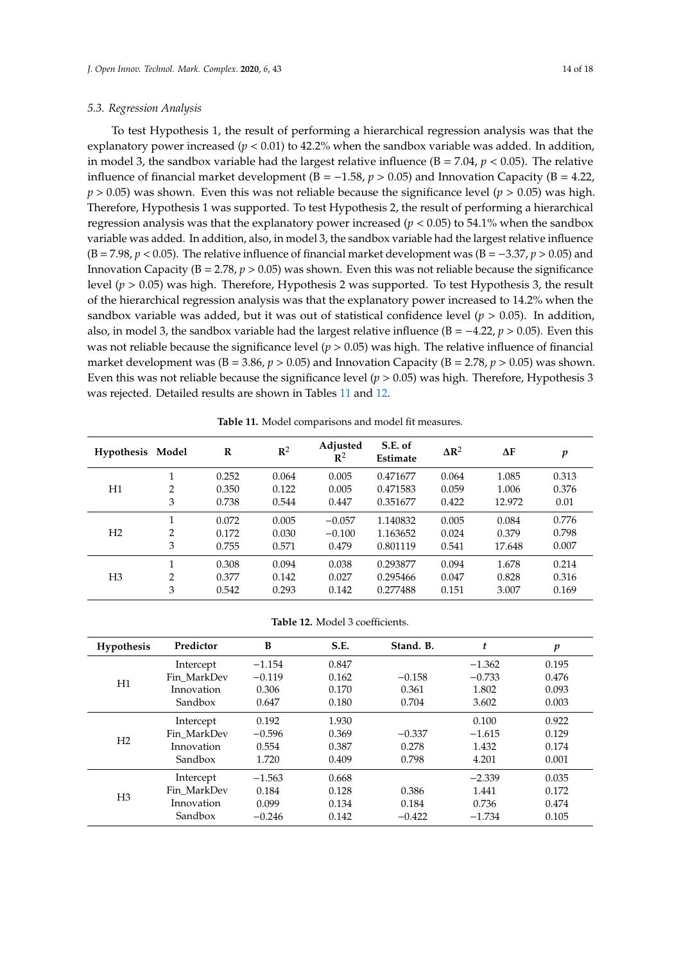# *5.3. Regression Analysis*

To test Hypothesis 1, the result of performing a hierarchical regression analysis was that the explanatory power increased  $(p < 0.01)$  to 42.2% when the sandbox variable was added. In addition, in model 3, the sandbox variable had the largest relative influence  $(B = 7.04, p < 0.05)$ . The relative influence of financial market development ( $B = -1.58$ ,  $p > 0.05$ ) and Innovation Capacity ( $B = 4.22$ , *p* > 0.05) was shown. Even this was not reliable because the significance level (*p* > 0.05) was high. Therefore, Hypothesis 1 was supported. To test Hypothesis 2, the result of performing a hierarchical regression analysis was that the explanatory power increased ( $p < 0.05$ ) to 54.1% when the sandbox variable was added. In addition, also, in model 3, the sandbox variable had the largest relative influence (B = 7.98, *p* < 0.05). The relative influence of financial market development was (B = −3.37, *p* > 0.05) and Innovation Capacity ( $B = 2.78$ ,  $p > 0.05$ ) was shown. Even this was not reliable because the significance level (*p* > 0.05) was high. Therefore, Hypothesis 2 was supported. To test Hypothesis 3, the result of the hierarchical regression analysis was that the explanatory power increased to 14.2% when the sandbox variable was added, but it was out of statistical confidence level ( $p > 0.05$ ). In addition, also, in model 3, the sandbox variable had the largest relative influence (B = −4.22, *p* > 0.05). Even this was not reliable because the significance level ( $p > 0.05$ ) was high. The relative influence of financial market development was  $(B = 3.86, p > 0.05)$  and Innovation Capacity  $(B = 2.78, p > 0.05)$  was shown. Even this was not reliable because the significance level (*p* > 0.05) was high. Therefore, Hypothesis 3 was rejected. Detailed results are shown in Tables [11](#page-13-0) and [12.](#page-13-1)

<span id="page-13-0"></span>

| Hypothesis Model |                | R     | $\mathbb{R}^2$ | Adjusted<br>$\mathbb{R}^2$ | S.E. of<br>Estimate | $\Delta R^2$ | ΔF     | p     |
|------------------|----------------|-------|----------------|----------------------------|---------------------|--------------|--------|-------|
| Η1               |                | 0.252 | 0.064          | 0.005                      | 0.471677            | 0.064        | 1.085  | 0.313 |
|                  | $\overline{2}$ | 0.350 | 0.122          | 0.005                      | 0.471583            | 0.059        | 1.006  | 0.376 |
|                  | 3              | 0.738 | 0.544          | 0.447                      | 0.351677            | 0.422        | 12.972 | 0.01  |
| H2               | 1              | 0.072 | 0.005          | $-0.057$                   | 1.140832            | 0.005        | 0.084  | 0.776 |
|                  | $\overline{2}$ | 0.172 | 0.030          | $-0.100$                   | 1.163652            | 0.024        | 0.379  | 0.798 |
|                  | 3              | 0.755 | 0.571          | 0.479                      | 0.801119            | 0.541        | 17.648 | 0.007 |
| H3               |                | 0.308 | 0.094          | 0.038                      | 0.293877            | 0.094        | 1.678  | 0.214 |
|                  | $\overline{2}$ | 0.377 | 0.142          | 0.027                      | 0.295466            | 0.047        | 0.828  | 0.316 |
|                  | 3              | 0.542 | 0.293          | 0.142                      | 0.277488            | 0.151        | 3.007  | 0.169 |

**Table 12.** Model 3 coefficients.

<span id="page-13-1"></span>

| <b>Hypothesis</b> | Predictor   | B        | S.E.  | Stand. B. | t        | $\boldsymbol{p}$ |
|-------------------|-------------|----------|-------|-----------|----------|------------------|
| H1                | Intercept   | $-1.154$ | 0.847 |           | $-1.362$ | 0.195            |
|                   | Fin MarkDev | $-0.119$ | 0.162 | $-0.158$  | $-0.733$ | 0.476            |
|                   | Innovation  | 0.306    | 0.170 | 0.361     | 1.802    | 0.093            |
|                   | Sandbox     | 0.647    | 0.180 | 0.704     | 3.602    | 0.003            |
| H <sub>2</sub>    | Intercept   | 0.192    | 1.930 |           | 0.100    | 0.922            |
|                   | Fin MarkDev | $-0.596$ | 0.369 | $-0.337$  | $-1.615$ | 0.129            |
|                   | Innovation  | 0.554    | 0.387 | 0.278     | 1.432    | 0.174            |
|                   | Sandbox     | 1.720    | 0.409 | 0.798     | 4.201    | 0.001            |
| H <sub>3</sub>    | Intercept   | $-1.563$ | 0.668 |           | $-2.339$ | 0.035            |
|                   | Fin MarkDev | 0.184    | 0.128 | 0.386     | 1.441    | 0.172            |
|                   | Innovation  | 0.099    | 0.134 | 0.184     | 0.736    | 0.474            |
|                   | Sandbox     | $-0.246$ | 0.142 | $-0.422$  | $-1.734$ | 0.105            |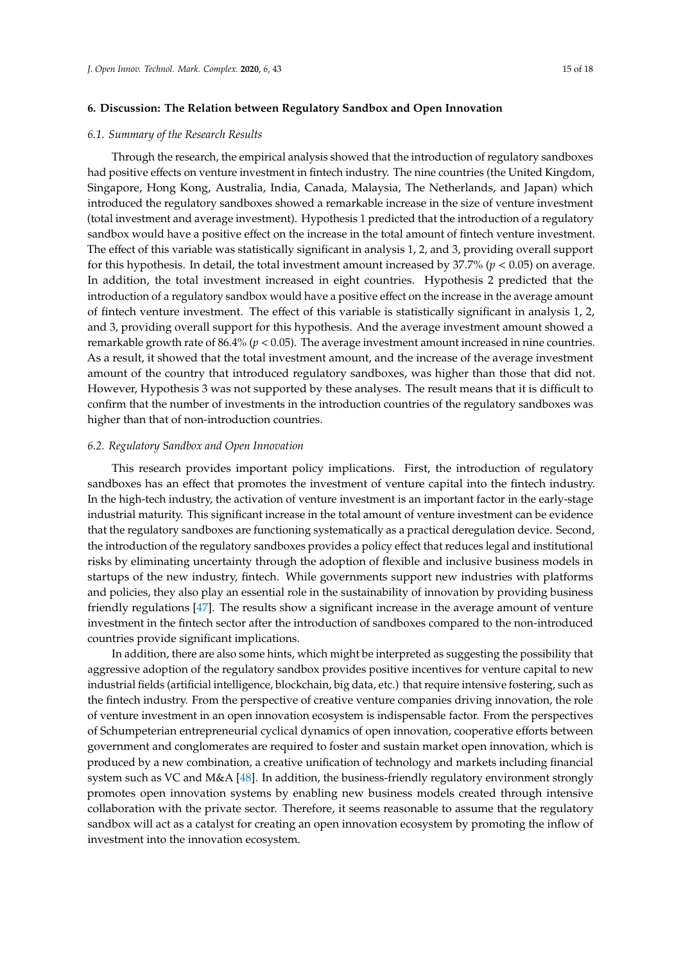# **6. Discussion: The Relation between Regulatory Sandbox and Open Innovation**

# *6.1. Summary of the Research Results*

Through the research, the empirical analysis showed that the introduction of regulatory sandboxes had positive effects on venture investment in fintech industry. The nine countries (the United Kingdom, Singapore, Hong Kong, Australia, India, Canada, Malaysia, The Netherlands, and Japan) which introduced the regulatory sandboxes showed a remarkable increase in the size of venture investment (total investment and average investment). Hypothesis 1 predicted that the introduction of a regulatory sandbox would have a positive effect on the increase in the total amount of fintech venture investment. The effect of this variable was statistically significant in analysis 1, 2, and 3, providing overall support for this hypothesis. In detail, the total investment amount increased by 37.7% (*p* < 0.05) on average. In addition, the total investment increased in eight countries. Hypothesis 2 predicted that the introduction of a regulatory sandbox would have a positive effect on the increase in the average amount of fintech venture investment. The effect of this variable is statistically significant in analysis 1, 2, and 3, providing overall support for this hypothesis. And the average investment amount showed a remarkable growth rate of 86.4% (*p* < 0.05). The average investment amount increased in nine countries. As a result, it showed that the total investment amount, and the increase of the average investment amount of the country that introduced regulatory sandboxes, was higher than those that did not. However, Hypothesis 3 was not supported by these analyses. The result means that it is difficult to confirm that the number of investments in the introduction countries of the regulatory sandboxes was higher than that of non-introduction countries.

# *6.2. Regulatory Sandbox and Open Innovation*

This research provides important policy implications. First, the introduction of regulatory sandboxes has an effect that promotes the investment of venture capital into the fintech industry. In the high-tech industry, the activation of venture investment is an important factor in the early-stage industrial maturity. This significant increase in the total amount of venture investment can be evidence that the regulatory sandboxes are functioning systematically as a practical deregulation device. Second, the introduction of the regulatory sandboxes provides a policy effect that reduces legal and institutional risks by eliminating uncertainty through the adoption of flexible and inclusive business models in startups of the new industry, fintech. While governments support new industries with platforms and policies, they also play an essential role in the sustainability of innovation by providing business friendly regulations [\[47\]](#page-17-0). The results show a significant increase in the average amount of venture investment in the fintech sector after the introduction of sandboxes compared to the non-introduced countries provide significant implications.

In addition, there are also some hints, which might be interpreted as suggesting the possibility that aggressive adoption of the regulatory sandbox provides positive incentives for venture capital to new industrial fields (artificial intelligence, blockchain, big data, etc.) that require intensive fostering, such as the fintech industry. From the perspective of creative venture companies driving innovation, the role of venture investment in an open innovation ecosystem is indispensable factor. From the perspectives of Schumpeterian entrepreneurial cyclical dynamics of open innovation, cooperative efforts between government and conglomerates are required to foster and sustain market open innovation, which is produced by a new combination, a creative unification of technology and markets including financial system such as VC and M&A [\[48\]](#page-17-1). In addition, the business-friendly regulatory environment strongly promotes open innovation systems by enabling new business models created through intensive collaboration with the private sector. Therefore, it seems reasonable to assume that the regulatory sandbox will act as a catalyst for creating an open innovation ecosystem by promoting the inflow of investment into the innovation ecosystem.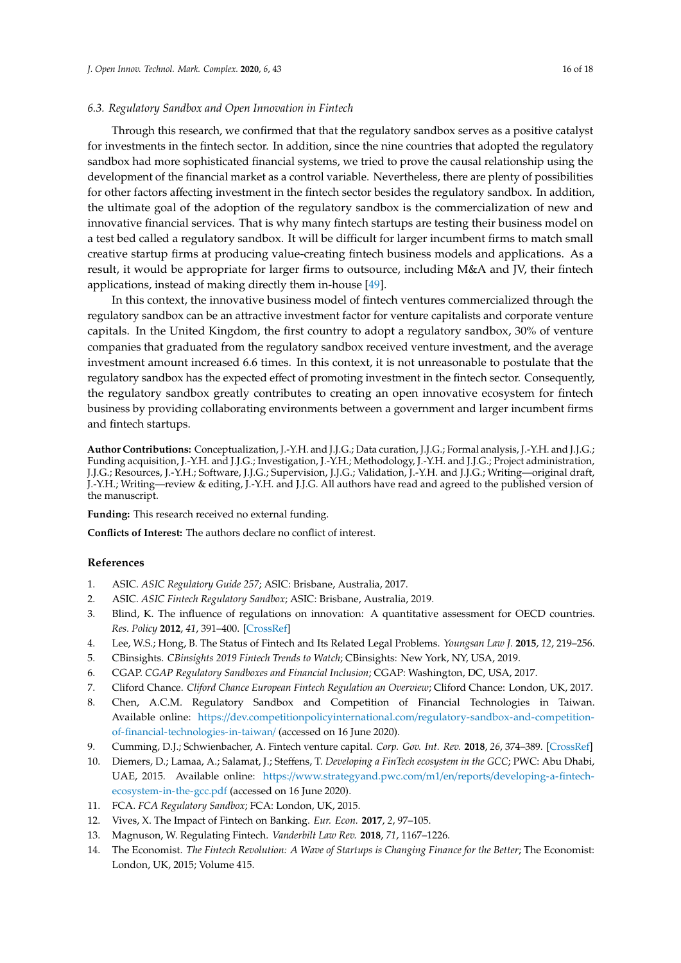# *6.3. Regulatory Sandbox and Open Innovation in Fintech*

Through this research, we confirmed that that the regulatory sandbox serves as a positive catalyst for investments in the fintech sector. In addition, since the nine countries that adopted the regulatory sandbox had more sophisticated financial systems, we tried to prove the causal relationship using the development of the financial market as a control variable. Nevertheless, there are plenty of possibilities for other factors affecting investment in the fintech sector besides the regulatory sandbox. In addition, the ultimate goal of the adoption of the regulatory sandbox is the commercialization of new and innovative financial services. That is why many fintech startups are testing their business model on a test bed called a regulatory sandbox. It will be difficult for larger incumbent firms to match small creative startup firms at producing value-creating fintech business models and applications. As a result, it would be appropriate for larger firms to outsource, including M&A and JV, their fintech applications, instead of making directly them in-house [\[49\]](#page-17-2).

In this context, the innovative business model of fintech ventures commercialized through the regulatory sandbox can be an attractive investment factor for venture capitalists and corporate venture capitals. In the United Kingdom, the first country to adopt a regulatory sandbox, 30% of venture companies that graduated from the regulatory sandbox received venture investment, and the average investment amount increased 6.6 times. In this context, it is not unreasonable to postulate that the regulatory sandbox has the expected effect of promoting investment in the fintech sector. Consequently, the regulatory sandbox greatly contributes to creating an open innovative ecosystem for fintech business by providing collaborating environments between a government and larger incumbent firms and fintech startups.

**Author Contributions:** Conceptualization, J.-Y.H. and J.J.G.; Data curation, J.J.G.; Formal analysis, J.-Y.H. and J.J.G.; Funding acquisition, J.-Y.H. and J.J.G.; Investigation, J.-Y.H.; Methodology, J.-Y.H. and J.J.G.; Project administration, J.J.G.; Resources, J.-Y.H.; Software, J.J.G.; Supervision, J.J.G.; Validation, J.-Y.H. and J.J.G.; Writing—original draft, J.-Y.H.; Writing—review & editing, J.-Y.H. and J.J.G. All authors have read and agreed to the published version of the manuscript.

**Funding:** This research received no external funding.

**Conflicts of Interest:** The authors declare no conflict of interest.

#### **References**

- <span id="page-15-0"></span>1. ASIC. *ASIC Regulatory Guide 257*; ASIC: Brisbane, Australia, 2017.
- <span id="page-15-1"></span>2. ASIC. *ASIC Fintech Regulatory Sandbox*; ASIC: Brisbane, Australia, 2019.
- <span id="page-15-2"></span>3. Blind, K. The influence of regulations on innovation: A quantitative assessment for OECD countries. *Res. Policy* **2012**, *41*, 391–400. [\[CrossRef\]](http://dx.doi.org/10.1016/j.respol.2011.08.008)
- <span id="page-15-3"></span>4. Lee, W.S.; Hong, B. The Status of Fintech and Its Related Legal Problems. *Youngsan Law J.* **2015**, *12*, 219–256.
- <span id="page-15-4"></span>5. CBinsights. *CBinsights 2019 Fintech Trends to Watch*; CBinsights: New York, NY, USA, 2019.
- <span id="page-15-5"></span>6. CGAP. *CGAP Regulatory Sandboxes and Financial Inclusion*; CGAP: Washington, DC, USA, 2017.
- <span id="page-15-6"></span>7. Cliford Chance. *Cliford Chance European Fintech Regulation an Overview*; Cliford Chance: London, UK, 2017.
- <span id="page-15-7"></span>8. Chen, A.C.M. Regulatory Sandbox and Competition of Financial Technologies in Taiwan. Available online: https://[dev.competitionpolicyinternational.com](https://dev.competitionpolicyinternational.com/regulatory-sandbox-and-competition-of-financial-technologies-in-taiwan/)/regulatory-sandbox-and-competition[of-financial-technologies-in-taiwan](https://dev.competitionpolicyinternational.com/regulatory-sandbox-and-competition-of-financial-technologies-in-taiwan/)/ (accessed on 16 June 2020).
- <span id="page-15-8"></span>9. Cumming, D.J.; Schwienbacher, A. Fintech venture capital. *Corp. Gov. Int. Rev.* **2018**, *26*, 374–389. [\[CrossRef\]](http://dx.doi.org/10.1111/corg.12256)
- <span id="page-15-9"></span>10. Diemers, D.; Lamaa, A.; Salamat, J.; Steffens, T. *Developing a FinTech ecosystem in the GCC*; PWC: Abu Dhabi, UAE, 2015. Available online: https://[www.strategyand.pwc.com](https://www.strategyand.pwc.com/m1/en/reports/developing-a-fintech-ecosystem-in-the-gcc.pdf)/m1/en/reports/developing-a-fintech[ecosystem-in-the-gcc.pdf](https://www.strategyand.pwc.com/m1/en/reports/developing-a-fintech-ecosystem-in-the-gcc.pdf) (accessed on 16 June 2020).
- <span id="page-15-10"></span>11. FCA. *FCA Regulatory Sandbox*; FCA: London, UK, 2015.
- <span id="page-15-13"></span>12. Vives, X. The Impact of Fintech on Banking. *Eur. Econ.* **2017**, *2*, 97–105.
- <span id="page-15-11"></span>13. Magnuson, W. Regulating Fintech. *Vanderbilt Law Rev.* **2018**, *71*, 1167–1226.
- <span id="page-15-12"></span>14. The Economist. *The Fintech Revolution: A Wave of Startups is Changing Finance for the Better*; The Economist: London, UK, 2015; Volume 415.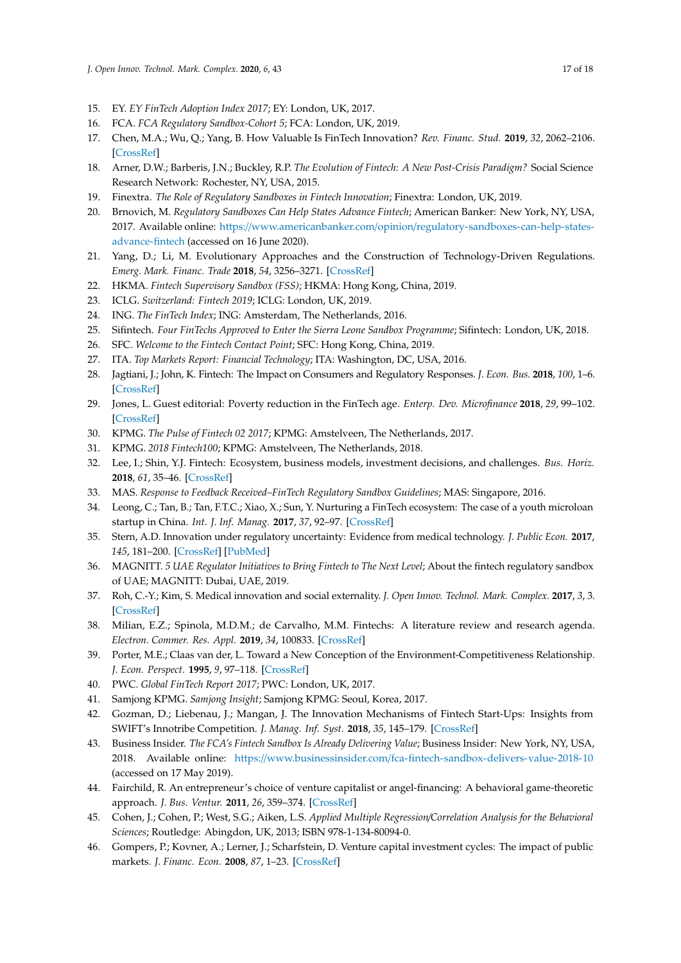- <span id="page-16-0"></span>15. EY. *EY FinTech Adoption Index 2017*; EY: London, UK, 2017.
- <span id="page-16-1"></span>16. FCA. *FCA Regulatory Sandbox-Cohort 5*; FCA: London, UK, 2019.
- 17. Chen, M.A.; Wu, Q.; Yang, B. How Valuable Is FinTech Innovation? *Rev. Financ. Stud.* **2019**, *32*, 2062–2106. [\[CrossRef\]](http://dx.doi.org/10.1093/rfs/hhy130)
- <span id="page-16-2"></span>18. Arner, D.W.; Barberis, J.N.; Buckley, R.P. *The Evolution of Fintech: A New Post-Crisis Paradigm?* Social Science Research Network: Rochester, NY, USA, 2015.
- <span id="page-16-3"></span>19. Finextra. *The Role of Regulatory Sandboxes in Fintech Innovation*; Finextra: London, UK, 2019.
- <span id="page-16-4"></span>20. Brnovich, M. *Regulatory Sandboxes Can Help States Advance Fintech*; American Banker: New York, NY, USA, 2017. Available online: https://www.americanbanker.com/opinion/[regulatory-sandboxes-can-help-states](https://www.americanbanker.com/opinion/regulatory-sandboxes-can-help-states-advance-fintech)[advance-fintech](https://www.americanbanker.com/opinion/regulatory-sandboxes-can-help-states-advance-fintech) (accessed on 16 June 2020).
- <span id="page-16-5"></span>21. Yang, D.; Li, M. Evolutionary Approaches and the Construction of Technology-Driven Regulations. *Emerg. Mark. Financ. Trade* **2018**, *54*, 3256–3271. [\[CrossRef\]](http://dx.doi.org/10.1080/1540496X.2018.1496422)
- <span id="page-16-6"></span>22. HKMA. *Fintech Supervisory Sandbox (FSS)*; HKMA: Hong Kong, China, 2019.
- <span id="page-16-7"></span>23. ICLG. *Switzerland: Fintech 2019*; ICLG: London, UK, 2019.
- <span id="page-16-8"></span>24. ING. *The FinTech Index*; ING: Amsterdam, The Netherlands, 2016.
- <span id="page-16-9"></span>25. Sifintech. *Four FinTechs Approved to Enter the Sierra Leone Sandbox Programme*; Sifintech: London, UK, 2018.
- <span id="page-16-11"></span>26. SFC. *Welcome to the Fintech Contact Point*; SFC: Hong Kong, China, 2019.
- <span id="page-16-12"></span><span id="page-16-10"></span>27. ITA. *Top Markets Report: Financial Technology*; ITA: Washington, DC, USA, 2016.
- 28. Jagtiani, J.; John, K. Fintech: The Impact on Consumers and Regulatory Responses. *J. Econ. Bus.* **2018**, *100*, 1–6. [\[CrossRef\]](http://dx.doi.org/10.1016/j.jeconbus.2018.11.002)
- <span id="page-16-13"></span>29. Jones, L. Guest editorial: Poverty reduction in the FinTech age. *Enterp. Dev. Microfinance* **2018**, *29*, 99–102. [\[CrossRef\]](http://dx.doi.org/10.3362/1755-1986.2018.29-2.ED)
- <span id="page-16-14"></span>30. KPMG. *The Pulse of Fintech 02 2017*; KPMG: Amstelveen, The Netherlands, 2017.
- <span id="page-16-15"></span>31. KPMG. *2018 Fintech100*; KPMG: Amstelveen, The Netherlands, 2018.
- <span id="page-16-16"></span>32. Lee, I.; Shin, Y.J. Fintech: Ecosystem, business models, investment decisions, and challenges. *Bus. Horiz.* **2018**, *61*, 35–46. [\[CrossRef\]](http://dx.doi.org/10.1016/j.bushor.2017.09.003)
- <span id="page-16-17"></span>33. MAS. *Response to Feedback Received–FinTech Regulatory Sandbox Guidelines*; MAS: Singapore, 2016.
- <span id="page-16-18"></span>34. Leong, C.; Tan, B.; Tan, F.T.C.; Xiao, X.; Sun, Y. Nurturing a FinTech ecosystem: The case of a youth microloan startup in China. *Int. J. Inf. Manag.* **2017**, *37*, 92–97. [\[CrossRef\]](http://dx.doi.org/10.1016/j.ijinfomgt.2016.11.006)
- <span id="page-16-19"></span>35. Stern, A.D. Innovation under regulatory uncertainty: Evidence from medical technology. *J. Public Econ.* **2017**, *145*, 181–200. [\[CrossRef\]](http://dx.doi.org/10.1016/j.jpubeco.2016.11.010) [\[PubMed\]](http://www.ncbi.nlm.nih.gov/pubmed/28652646)
- <span id="page-16-20"></span>36. MAGNITT. *5 UAE Regulator Initiatives to Bring Fintech to The Next Level*; About the fintech regulatory sandbox of UAE; MAGNITT: Dubai, UAE, 2019.
- <span id="page-16-21"></span>37. Roh, C.-Y.; Kim, S. Medical innovation and social externality. *J. Open Innov. Technol. Mark. Complex.* **2017**, *3*, 3. [\[CrossRef\]](http://dx.doi.org/10.1186/s40852-017-0056-1)
- <span id="page-16-22"></span>38. Milian, E.Z.; Spinola, M.D.M.; de Carvalho, M.M. Fintechs: A literature review and research agenda. *Electron. Commer. Res. Appl.* **2019**, *34*, 100833. [\[CrossRef\]](http://dx.doi.org/10.1016/j.elerap.2019.100833)
- <span id="page-16-23"></span>39. Porter, M.E.; Claas van der, L. Toward a New Conception of the Environment-Competitiveness Relationship. *J. Econ. Perspect.* **1995**, *9*, 97–118. [\[CrossRef\]](http://dx.doi.org/10.1257/jep.9.4.97)
- <span id="page-16-24"></span>40. PWC. *Global FinTech Report 2017*; PWC: London, UK, 2017.
- <span id="page-16-25"></span>41. Samjong KPMG. *Samjong Insight*; Samjong KPMG: Seoul, Korea, 2017.
- <span id="page-16-26"></span>42. Gozman, D.; Liebenau, J.; Mangan, J. The Innovation Mechanisms of Fintech Start-Ups: Insights from SWIFT's Innotribe Competition. *J. Manag. Inf. Syst.* **2018**, *35*, 145–179. [\[CrossRef\]](http://dx.doi.org/10.1080/07421222.2018.1440768)
- <span id="page-16-27"></span>43. Business Insider. *The FCA's Fintech Sandbox Is Already Delivering Value*; Business Insider: New York, NY, USA, 2018. Available online: https://www.businessinsider.com/[fca-fintech-sandbox-delivers-value-2018-10](https://www.businessinsider.com/fca-fintech-sandbox-delivers-value-2018-10) (accessed on 17 May 2019).
- <span id="page-16-28"></span>44. Fairchild, R. An entrepreneur's choice of venture capitalist or angel-financing: A behavioral game-theoretic approach. *J. Bus. Ventur.* **2011**, *26*, 359–374. [\[CrossRef\]](http://dx.doi.org/10.1016/j.jbusvent.2009.09.003)
- <span id="page-16-29"></span>45. Cohen, J.; Cohen, P.; West, S.G.; Aiken, L.S. *Applied Multiple Regression*/*Correlation Analysis for the Behavioral Sciences*; Routledge: Abingdon, UK, 2013; ISBN 978-1-134-80094-0.
- <span id="page-16-30"></span>46. Gompers, P.; Kovner, A.; Lerner, J.; Scharfstein, D. Venture capital investment cycles: The impact of public markets. *J. Financ. Econ.* **2008**, *87*, 1–23. [\[CrossRef\]](http://dx.doi.org/10.1016/j.jfineco.2006.12.002)